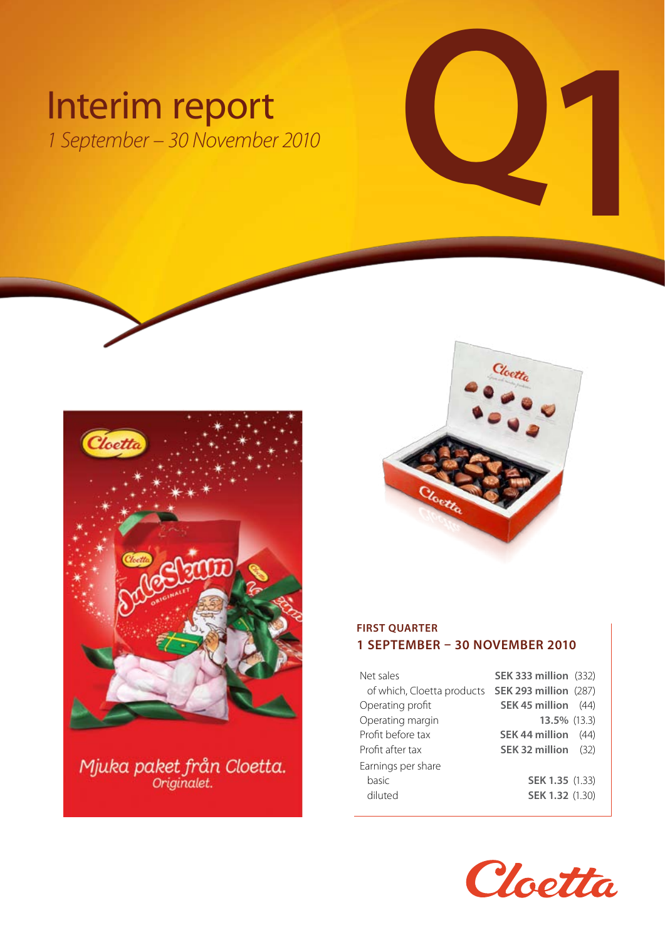# Interim report<br>
1 September – 30 November 2010 *1 September – 30 November 2010*



# Mjuka paket från Cloetta.



### **FIRST QUARTER 1 september – 30 november 2010**

| Net sales                                               | <b>SEK 333 million (332)</b> |      |
|---------------------------------------------------------|------------------------------|------|
| of which, Cloetta products <b>SEK 293 million</b> (287) |                              |      |
| Operating profit                                        | SEK 45 million               | (44) |
| Operating margin                                        | 13.5% (13.3)                 |      |
| Profit before tax                                       | <b>SEK 44 million</b>        | (44) |
| Profit after tax                                        | SEK 32 million               | (32) |
| Earnings per share                                      |                              |      |
| basic                                                   | <b>SEK 1.35 (1.33)</b>       |      |
| diluted                                                 | SEK 1.32 (1.30)              |      |

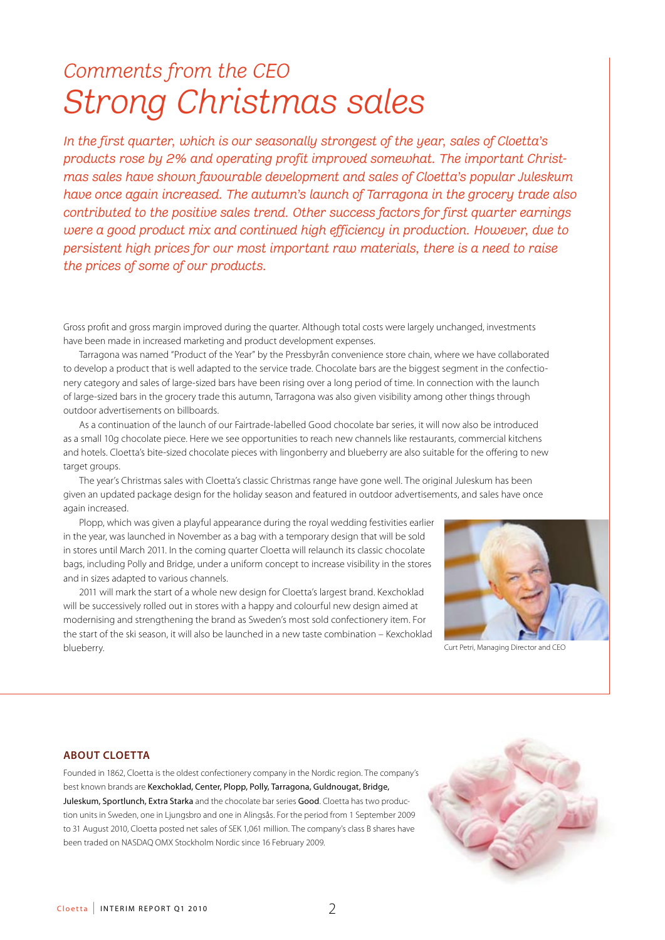# *Comments from the CEO Strong Christmas sales*

*In the first quarter, which is our seasonally strongest of the year, sales of Cloetta's products rose by 2% and operating profit improved somewhat. The important Christmas sales have shown favourable development and sales of Cloetta's popular Juleskum have once again increased. The autumn's launch of Tarragona in the grocery trade also contributed to the positive sales trend. Other success factors for first quarter earnings were a good product mix and continued high efficiency in production. However, due to persistent high prices for our most important raw materials, there is a need to raise the prices of some of our products.*

Gross profit and gross margin improved during the quarter. Although total costs were largely unchanged, investments have been made in increased marketing and product development expenses.

Tarragona was named "Product of the Year" by the Pressbyrån convenience store chain, where we have collaborated to develop a product that is well adapted to the service trade. Chocolate bars are the biggest segment in the confectionery category and sales of large-sized bars have been rising over a long period of time. In connection with the launch of large-sized bars in the grocery trade this autumn, Tarragona was also given visibility among other things through outdoor advertisements on billboards.

As a continuation of the launch of our Fairtrade-labelled Good chocolate bar series, it will now also be introduced as a small 10g chocolate piece. Here we see opportunities to reach new channels like restaurants, commercial kitchens and hotels. Cloetta's bite-sized chocolate pieces with lingonberry and blueberry are also suitable for the offering to new target groups.

The year's Christmas sales with Cloetta's classic Christmas range have gone well. The original Juleskum has been given an updated package design for the holiday season and featured in outdoor advertisements, and sales have once again increased.

Plopp, which was given a playful appearance during the royal wedding festivities earlier in the year, was launched in November as a bag with a temporary design that will be sold in stores until March 2011. In the coming quarter Cloetta will relaunch its classic chocolate bags, including Polly and Bridge, under a uniform concept to increase visibility in the stores and in sizes adapted to various channels.

2011 will mark the start of a whole new design for Cloetta's largest brand. Kexchoklad will be successively rolled out in stores with a happy and colourful new design aimed at modernising and strengthening the brand as Sweden's most sold confectionery item. For the start of the ski season, it will also be launched in a new taste combination – Kexchoklad blueberry. Curt Petri, Managing Director and CEO



### **ABOUT CLOETTA**

Founded in 1862, Cloetta is the oldest confectionery company in the Nordic region. The company's best known brands are Kexchoklad, Center, Plopp, Polly, Tarragona, Guldnougat, Bridge, Juleskum, Sportlunch, Extra Starka and the chocolate bar series Good. Cloetta has two production units in Sweden, one in Ljungsbro and one in Alingsås. For the period from 1 September 2009 to 31 August 2010, Cloetta posted net sales of SEK 1,061 million. The company's class B shares have been traded on NASDAQ OMX Stockholm Nordic since 16 February 2009.

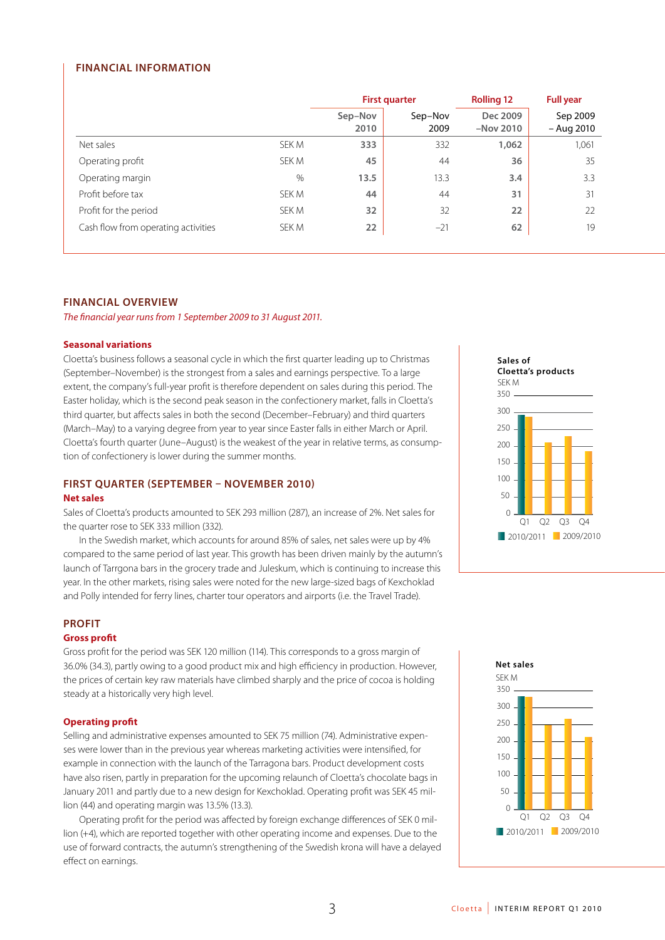### **FINANCIAL INFORMATION**

|                                     |       | <b>First quarter</b> |                 | <b>Rolling 12</b>       | <b>Full year</b>         |
|-------------------------------------|-------|----------------------|-----------------|-------------------------|--------------------------|
|                                     |       | Sep-Nov<br>2010      | Sep-Nov<br>2009 | Dec 2009<br>$-Nov$ 2010 | Sep 2009<br>$-$ Aug 2010 |
| Net sales                           | SEK M | 333                  | 332             | 1,062                   | 1,061                    |
| Operating profit                    | SEK M | 45                   | 44              | 36                      | 35                       |
| Operating margin                    | $\%$  | 13.5                 | 13.3            | 3.4                     | 3.3                      |
| Profit before tax                   | SEK M | 44                   | 44              | 31                      | 31                       |
| Profit for the period               | SEK M | 32                   | 32              | 22                      | 22                       |
| Cash flow from operating activities | SEK M | 22                   | $-21$           | 62                      | 19                       |

### **FINANCIAL OVERVIEW**

*The financial year runs from 1 September 2009 to 31 August 2011.*

### **Seasonal variations**

Cloetta's business follows a seasonal cycle in which the first quarter leading up to Christmas (September–November) is the strongest from a sales and earnings perspective. To a large extent, the company's full-year profit is therefore dependent on sales during this period. The Easter holiday, which is the second peak season in the confectionery market, falls in Cloetta's third quarter, but affects sales in both the second (December–February) and third quarters (March–May) to a varying degree from year to year since Easter falls in either March or April. Cloetta's fourth quarter (June–August) is the weakest of the year in relative terms, as consumption of confectionery is lower during the summer months.

### **FIRST QUARTER (SEPTEMBER – NOVEMBER 2010)**

### **Net sales**

Sales of Cloetta's products amounted to SEK 293 million (287), an increase of 2%. Net sales for the quarter rose to SEK 333 million (332).

In the Swedish market, which accounts for around 85% of sales, net sales were up by 4% compared to the same period of last year. This growth has been driven mainly by the autumn's launch of Tarrgona bars in the grocery trade and Juleskum, which is continuing to increase this year. In the other markets, rising sales were noted for the new large-sized bags of Kexchoklad and Polly intended for ferry lines, charter tour operators and airports (i.e. the Travel Trade).

### **PROFIT**

### **Gross profit**

Gross profit for the period was SEK 120 million (114). This corresponds to a gross margin of 36.0% (34.3), partly owing to a good product mix and high efficiency in production. However, the prices of certain key raw materials have climbed sharply and the price of cocoa is holding steady at a historically very high level.

### **Operating profit**

Selling and administrative expenses amounted to SEK 75 million (74). Administrative expenses were lower than in the previous year whereas marketing activities were intensified, for example in connection with the launch of the Tarragona bars. Product development costs have also risen, partly in preparation for the upcoming relaunch of Cloetta's chocolate bags in January 2011 and partly due to a new design for Kexchoklad. Operating profit was SEK 45 million (44) and operating margin was 13.5% (13.3).

Operating profit for the period was affected by foreign exchange differences of SEK 0 million (+4), which are reported together with other operating income and expenses. Due to the use of forward contracts, the autumn's strengthening of the Swedish krona will have a delayed effect on earnings.



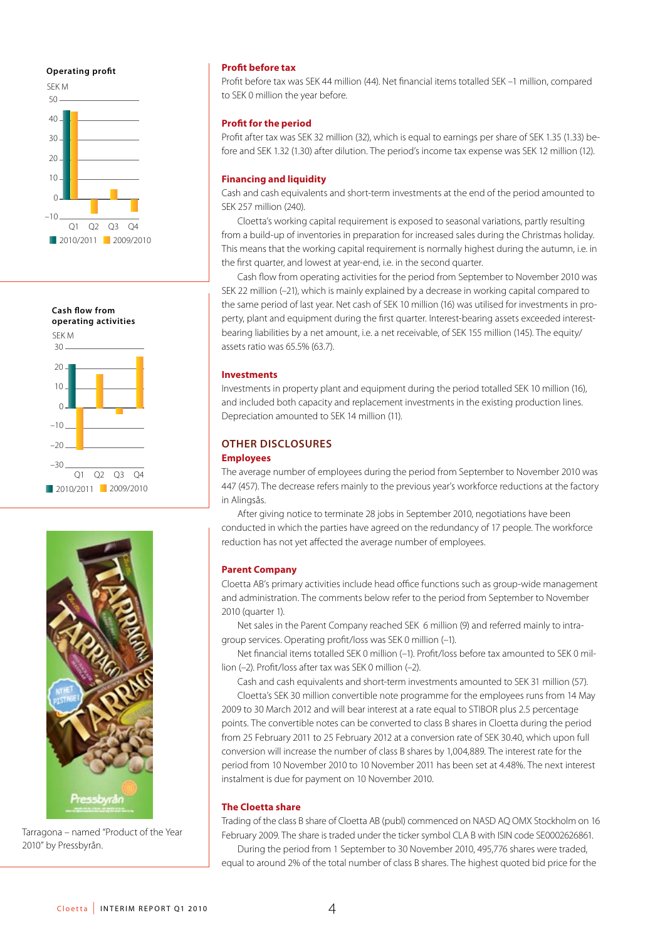### **Operating profit**







Tarragona – named "Product of the Year 2010" by Pressbyrån.

### **Profit before tax**

Profit before tax was SEK 44 million (44). Net financial items totalled SEK –1 million, compared to SEK 0 million the year before.

### **Profit for the period**

Profit after tax was SEK 32 million (32), which is equal to earnings per share of SEK 1.35 (1.33) before and SEK 1.32 (1.30) after dilution. The period's income tax expense was SEK 12 million (12).

### **Financing and liquidity**

Cash and cash equivalents and short-term investments at the end of the period amounted to SEK 257 million (240).

Cloetta's working capital requirement is exposed to seasonal variations, partly resulting from a build-up of inventories in preparation for increased sales during the Christmas holiday. This means that the working capital requirement is normally highest during the autumn, i.e. in the first quarter, and lowest at year-end, i.e. in the second quarter.

Cash flow from operating activities for the period from September to November 2010 was SEK 22 million (–21), which is mainly explained by a decrease in working capital compared to the same period of last year. Net cash of SEK 10 million (16) was utilised for investments in property, plant and equipment during the first quarter. Interest-bearing assets exceeded interestbearing liabilities by a net amount, i.e. a net receivable, of SEK 155 million (145). The equity/ assets ratio was 65.5% (63.7).

### **Investments**

Investments in property plant and equipment during the period totalled SEK 10 million (16), and included both capacity and replacement investments in the existing production lines. Depreciation amounted to SEK 14 million (11).

### **OTHER DISCLOSURES**

### **Employees**

The average number of employees during the period from September to November 2010 was 447 (457). The decrease refers mainly to the previous year's workforce reductions at the factory in Alingsås.

After giving notice to terminate 28 jobs in September 2010, negotiations have been conducted in which the parties have agreed on the redundancy of 17 people. The workforce reduction has not yet affected the average number of employees.

### **Parent Company**

Cloetta AB's primary activities include head office functions such as group-wide management and administration. The comments below refer to the period from September to November 2010 (quarter 1).

Net sales in the Parent Company reached SEK 6 million (9) and referred mainly to intragroup services. Operating profit/loss was SEK 0 million (–1).

Net financial items totalled SEK 0 million (–1). Profit/loss before tax amounted to SEK 0 million (–2). Profit/loss after tax was SEK 0 million (–2).

Cash and cash equivalents and short-term investments amounted to SEK 31 million (57).

Cloetta's SEK 30 million convertible note programme for the employees runs from 14 May 2009 to 30 March 2012 and will bear interest at a rate equal to STIBOR plus 2.5 percentage points. The convertible notes can be converted to class B shares in Cloetta during the period from 25 February 2011 to 25 February 2012 at a conversion rate of SEK 30.40, which upon full conversion will increase the number of class B shares by 1,004,889. The interest rate for the period from 10 November 2010 to 10 November 2011 has been set at 4.48%. The next interest instalment is due for payment on 10 November 2010.

### **The Cloetta share**

Trading of the class B share of Cloetta AB (publ) commenced on NASD AQ OMX Stockholm on 16 February 2009. The share is traded under the ticker symbol CLA B with ISIN code SE0002626861.

During the period from 1 September to 30 November 2010, 495,776 shares were traded, equal to around 2% of the total number of class B shares. The highest quoted bid price for the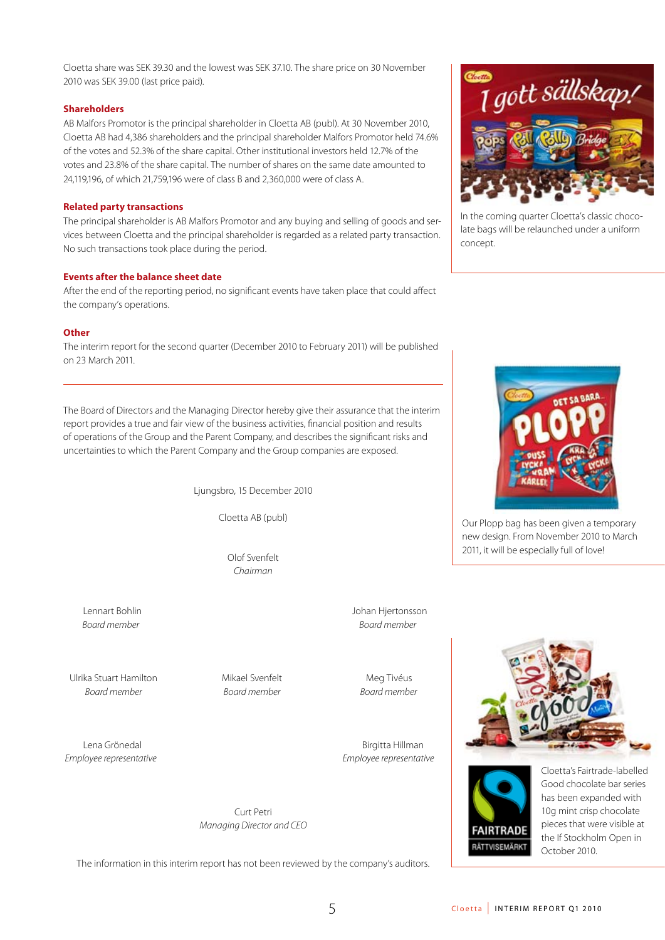Cloetta share was SEK 39.30 and the lowest was SEK 37.10. The share price on 30 November 2010 was SEK 39.00 (last price paid).

### **Shareholders**

AB Malfors Promotor is the principal shareholder in Cloetta AB (publ). At 30 November 2010, Cloetta AB had 4,386 shareholders and the principal shareholder Malfors Promotor held 74.6% of the votes and 52.3% of the share capital. Other institutional investors held 12.7% of the votes and 23.8% of the share capital. The number of shares on the same date amounted to 24,119,196, of which 21,759,196 were of class B and 2,360,000 were of class A.

### **Related party transactions**

The principal shareholder is AB Malfors Promotor and any buying and selling of goods and services between Cloetta and the principal shareholder is regarded as a related party transaction. No such transactions took place during the period.

### **Events after the balance sheet date**

After the end of the reporting period, no significant events have taken place that could affect the company's operations.

### **Other**

The interim report for the second quarter (December 2010 to February 2011) will be published on 23 March 2011.

The Board of Directors and the Managing Director hereby give their assurance that the interim report provides a true and fair view of the business activities, financial position and results of operations of the Group and the Parent Company, and describes the significant risks and uncertainties to which the Parent Company and the Group companies are exposed.

Ljungsbro, 15 December 2010

Cloetta AB (publ)

Olof Svenfelt *Chairman*

Lennart Bohlin Johan Hjertonsson *Board member Board member*

Ulrika Stuart Hamilton Mikael Svenfelt Meg Tivéus *Board member Board member Board member*

Lena Grönedal and Birgitta Hillman *Employee representative Employee representative*

> Curt Petri *Managing Director and CEO*

The information in this interim report has not been reviewed by the company's auditors.



In the coming quarter Cloetta's classic chocolate bags will be relaunched under a uniform concept.



Our Plopp bag has been given a temporary new design. From November 2010 to March 2011, it will be especially full of love!





Cloetta's Fairtrade-labelled Good chocolate bar series has been expanded with 10g mint crisp chocolate pieces that were visible at the If Stockholm Open in October 2010.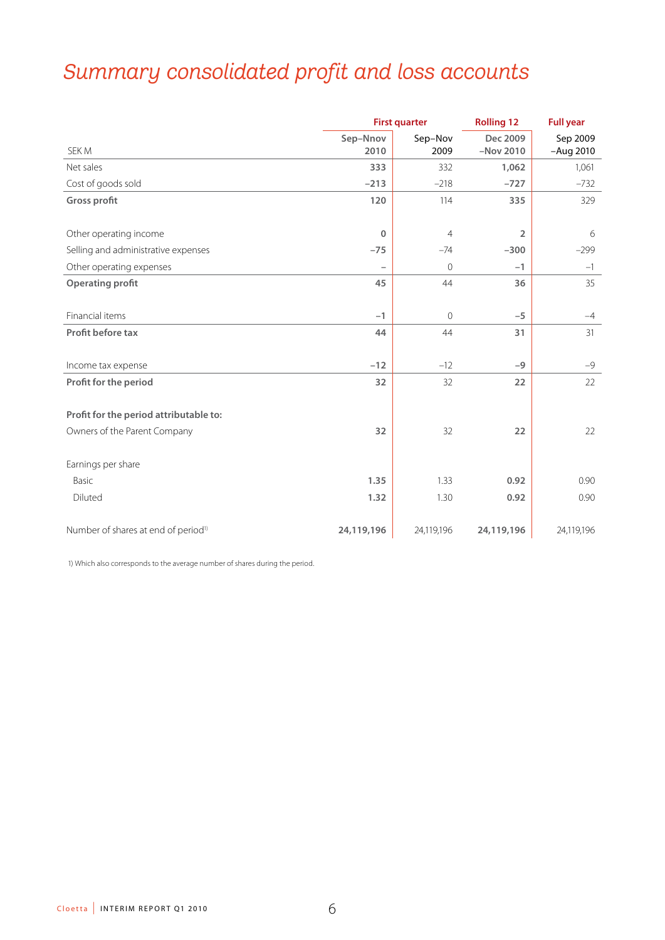# *Summary consolidated profit and loss accounts*

|                                                 | <b>First quarter</b>     |                 | <b>Rolling 12</b>       | <b>Full year</b>        |
|-------------------------------------------------|--------------------------|-----------------|-------------------------|-------------------------|
| SEK M                                           | Sep-Nnov<br>2010         | Sep-Nov<br>2009 | Dec 2009<br>$-Nov$ 2010 | Sep 2009<br>$-Aug$ 2010 |
| Net sales                                       | 333                      | 332             | 1,062                   | 1,061                   |
| Cost of goods sold                              | $-213$                   | $-218$          | $-727$                  | $-732$                  |
| <b>Gross profit</b>                             | 120                      | 114             | 335                     | 329                     |
|                                                 |                          |                 |                         |                         |
| Other operating income                          | $\mathbf 0$              | $\overline{4}$  | $\overline{2}$          | 6                       |
| Selling and administrative expenses             | $-75$                    | $-74$           | $-300$                  | $-299$                  |
| Other operating expenses                        | $\overline{\phantom{0}}$ | $\overline{0}$  | $-1$                    | $-1$                    |
| <b>Operating profit</b>                         | 45                       | 44              | 36                      | 35                      |
|                                                 |                          |                 |                         |                         |
| Financial items                                 | $-1$                     | $\Omega$        | $-5$                    | $-4$                    |
| Profit before tax                               | 44                       | 44              | 31                      | 31                      |
|                                                 |                          |                 |                         |                         |
| Income tax expense                              | $-12$                    | $-12$           | $-9$                    | $-9$                    |
| Profit for the period                           | 32                       | 32              | 22                      | 22                      |
|                                                 |                          |                 |                         |                         |
| Profit for the period attributable to:          |                          |                 |                         |                         |
| Owners of the Parent Company                    | 32                       | 32              | 22                      | 22                      |
|                                                 |                          |                 |                         |                         |
| Earnings per share                              |                          |                 |                         |                         |
| Basic                                           | 1.35                     | 1.33            | 0.92                    | 0.90                    |
| Diluted                                         | 1.32                     | 1.30            | 0.92                    | 0.90                    |
|                                                 |                          |                 |                         |                         |
| Number of shares at end of period <sup>1)</sup> | 24,119,196               | 24,119,196      | 24,119,196              | 24,119,196              |

1) Which also corresponds to the average number of shares during the period.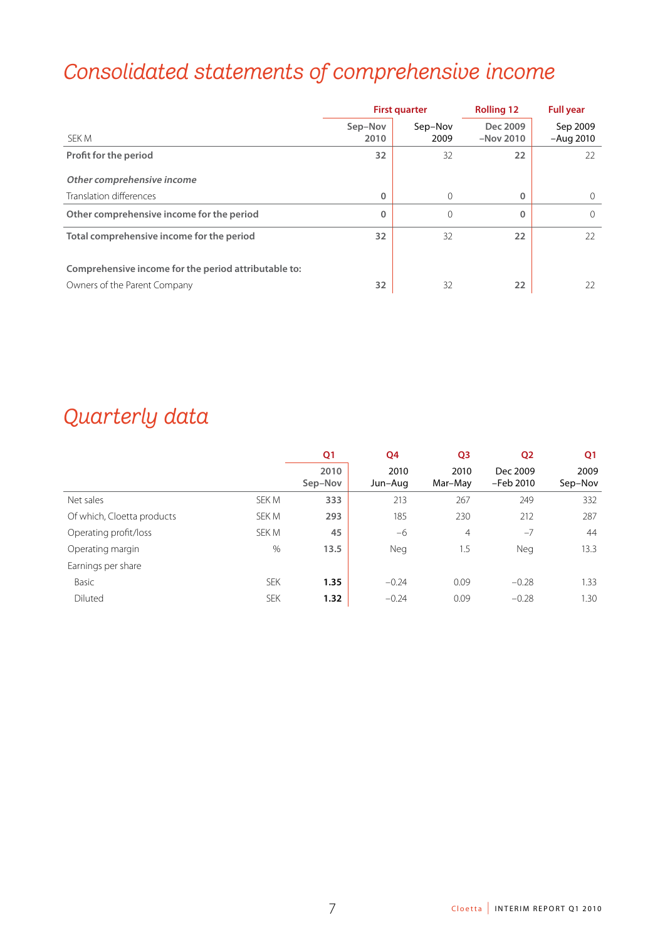# *Consolidated statements of comprehensive income*

|                                                      | <b>First quarter</b> |                 | <b>Rolling 12</b>       | <b>Full year</b>        |
|------------------------------------------------------|----------------------|-----------------|-------------------------|-------------------------|
| SEK M                                                | Sep-Nov<br>2010      | Sep-Nov<br>2009 | Dec 2009<br>$-Nov$ 2010 | Sep 2009<br>$-Auq$ 2010 |
| Profit for the period                                | 32                   | 32              | 22                      | 22                      |
| Other comprehensive income                           |                      |                 |                         |                         |
| Translation differences                              | 0                    | $\Omega$        | $\mathbf 0$             | $\Omega$                |
| Other comprehensive income for the period            | 0                    | $\mathbf 0$     | $\mathbf 0$             |                         |
| Total comprehensive income for the period            | 32                   | 32              | 22                      | 22                      |
| Comprehensive income for the period attributable to: |                      |                 |                         |                         |
| Owners of the Parent Company                         | 32                   | 32              | 22                      | 22                      |

# *Quarterly data*

|                            |            | Q <sub>1</sub>  | Q4              | Q <sub>3</sub>  | Q <sub>2</sub>        | Q1              |
|----------------------------|------------|-----------------|-----------------|-----------------|-----------------------|-----------------|
|                            |            | 2010<br>Sep-Nov | 2010<br>Jun-Aug | 2010<br>Mar-May | Dec 2009<br>-Feb 2010 | 2009<br>Sep-Nov |
| Net sales                  | SEK M      | 333             | 213             | 267             | 249                   | 332             |
| Of which, Cloetta products | SEK M      | 293             | 185             | 230             | 212                   | 287             |
| Operating profit/loss      | SEK M      | 45              | -6              | $\overline{4}$  | $-7$                  | 44              |
| Operating margin           | $\%$       | 13.5            | Neg             | 1.5             | Neg                   | 13.3            |
| Earnings per share         |            |                 |                 |                 |                       |                 |
| Basic                      | <b>SEK</b> | 1.35            | $-0.24$         | 0.09            | $-0.28$               | 1.33            |
| Diluted                    | <b>SEK</b> | 1.32            | $-0.24$         | 0.09            | $-0.28$               | 1.30            |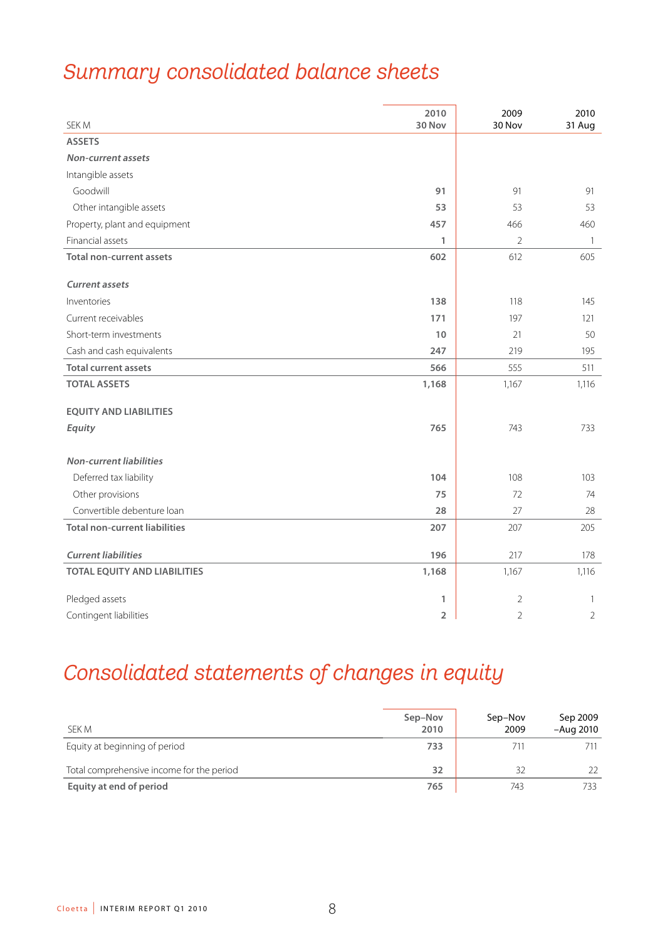# *Summary consolidated balance sheets*

| SEK M                                | 2010<br>30 Nov | 2009<br>30 Nov | 2010<br>31 Aug |
|--------------------------------------|----------------|----------------|----------------|
| <b>ASSETS</b>                        |                |                |                |
| <b>Non-current assets</b>            |                |                |                |
| Intangible assets                    |                |                |                |
| Goodwill                             | 91             | 91             | 91             |
| Other intangible assets              | 53             | 53             | 53             |
| Property, plant and equipment        | 457            | 466            | 460            |
| Financial assets                     | 1              | $\overline{2}$ | $\overline{1}$ |
| <b>Total non-current assets</b>      | 602            | 612            | 605            |
|                                      |                |                |                |
| <b>Current assets</b>                |                |                |                |
| Inventories                          | 138            | 118            | 145            |
| Current receivables                  | 171            | 197            | 121            |
| Short-term investments               | 10             | 21             | 50             |
| Cash and cash equivalents            | 247            | 219            | 195            |
| <b>Total current assets</b>          | 566            | 555            | 511            |
| <b>TOTAL ASSETS</b>                  | 1,168          | 1,167          | 1,116          |
|                                      |                |                |                |
| <b>EQUITY AND LIABILITIES</b>        |                |                |                |
| Equity                               | 765            | 743            | 733            |
|                                      |                |                |                |
| <b>Non-current liabilities</b>       |                |                |                |
| Deferred tax liability               | 104            | 108            | 103            |
| Other provisions                     | 75             | 72             | 74             |
| Convertible debenture loan           | 28             | 27             | 28             |
| <b>Total non-current liabilities</b> | 207            | 207            | 205            |
| <b>Current liabilities</b>           | 196            | 217            | 178            |
| <b>TOTAL EQUITY AND LIABILITIES</b>  | 1,168          | 1,167          | 1,116          |
|                                      |                |                |                |
| Pledged assets                       | 1              | $\overline{2}$ | $\mathbf{1}$   |
| Contingent liabilities               | 2              | $\overline{2}$ | 2              |

# *Consolidated statements of changes in equity*

| SEK M                                     | Sep-Nov<br>2010 | Sep-Nov<br>2009 | Sep 2009<br>-Aug 2010 |
|-------------------------------------------|-----------------|-----------------|-----------------------|
| Equity at beginning of period             | 733             | 711             | 711                   |
| Total comprehensive income for the period | 32              | 32              | 22                    |
| Equity at end of period                   | 765             | 743             | 733                   |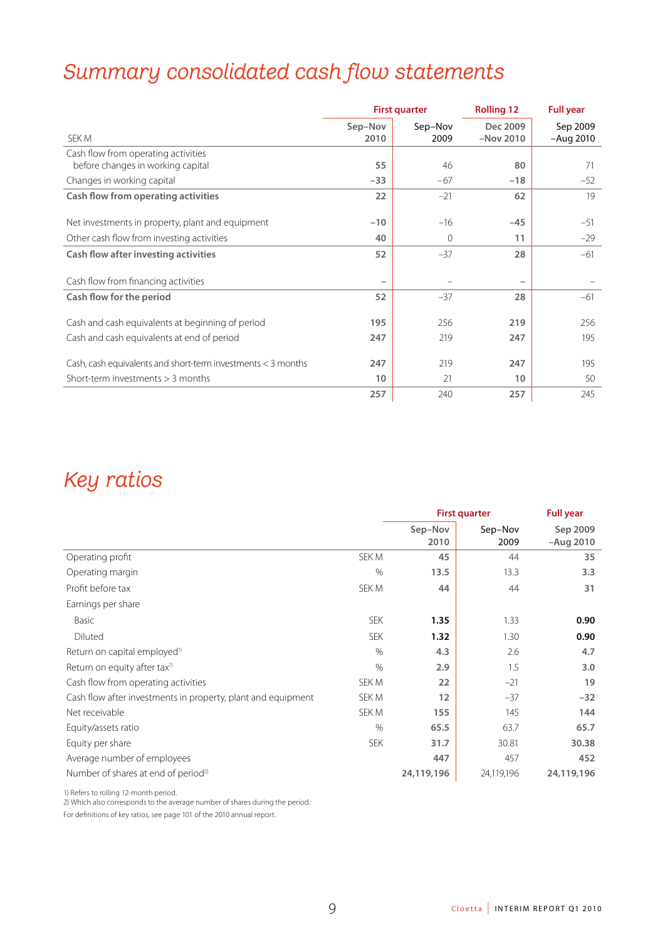# *Summary consolidated cash flow statements*

|                                                                          | <b>First quarter</b>     |                 | <b>Rolling 12</b>       | <b>Full year</b>        |
|--------------------------------------------------------------------------|--------------------------|-----------------|-------------------------|-------------------------|
| SEK M                                                                    | Sep-Nov<br>2010          | Sep-Nov<br>2009 | Dec 2009<br>$-Nov 2010$ | Sep 2009<br>$-Auq$ 2010 |
| Cash flow from operating activities<br>before changes in working capital | 55                       | 46              | 80                      | 71                      |
| Changes in working capital                                               | $-33$                    | $-67$           | $-18$                   | $-52$                   |
| Cash flow from operating activities                                      | 22                       | $-21$           | 62                      | 19                      |
| Net investments in property, plant and equipment                         | $-10$                    | $-16$           | $-45$                   | $-51$                   |
| Other cash flow from investing activities                                | 40                       | $\mathbf{0}$    | 11                      | $-29$                   |
| Cash flow after investing activities                                     | 52                       | $-37$           | 28                      | $-61$                   |
| Cash flow from financing activities                                      | $\overline{\phantom{0}}$ |                 |                         |                         |
| Cash flow for the period                                                 | 52                       | $-37$           | 28                      | $-61$                   |
| Cash and cash equivalents at beginning of period                         | 195                      | 256             | 219                     | 256                     |
| Cash and cash equivalents at end of period                               | 247                      | 219             | 247                     | 195                     |
| Cash, cash equivalents and short-term investments $<$ 3 months           | 247                      | 219             | 247                     | 195                     |
| Short-term investments $>$ 3 months                                      | 10                       | 21              | 10                      | 50                      |
|                                                                          | 257                      | 240             | 257                     | 245                     |

## *Key ratios*

|                                                              |            |                 | <b>First quarter</b> | <b>Full year</b>        |
|--------------------------------------------------------------|------------|-----------------|----------------------|-------------------------|
|                                                              |            | Sep-Nov<br>2010 | Sep-Nov<br>2009      | Sep 2009<br>$-Auq$ 2010 |
| Operating profit                                             | SEK M      | 45              | 44                   | 35                      |
| Operating margin                                             | $\%$       | 13.5            | 13.3                 | 3.3                     |
| Profit before tax                                            | SEK M      | 44              | 44                   | 31                      |
| Earnings per share                                           |            |                 |                      |                         |
| Basic                                                        | <b>SEK</b> | 1.35            | 1.33                 | 0.90                    |
| Diluted                                                      | <b>SEK</b> | 1.32            | 1.30                 | 0.90                    |
| Return on capital employed <sup>1)</sup>                     | $\%$       | 4.3             | 2.6                  | 4.7                     |
| Return on equity after tax <sup>1)</sup>                     | $\%$       | 2.9             | 1.5                  | 3.0                     |
| Cash flow from operating activities                          | SEK M      | 22              | $-21$                | 19                      |
| Cash flow after investments in property, plant and equipment | SEK M      | 12              | $-37$                | $-32$                   |
| Net receivable                                               | SEK M      | 155             | 145                  | 144                     |
| Equity/assets ratio                                          | $\%$       | 65.5            | 63.7                 | 65.7                    |
| Equity per share                                             | <b>SEK</b> | 31.7            | 30.81                | 30.38                   |
| Average number of employees                                  |            | 447             | 457                  | 452                     |
| Number of shares at end of period <sup>2)</sup>              |            | 24,119,196      | 24,119,196           | 24,119,196              |

1) Refers to rolling 12-month period.

2) Which also corresponds to the average number of shares during the period.

For definitions of key ratios, see page 101 of the 2010 annual report.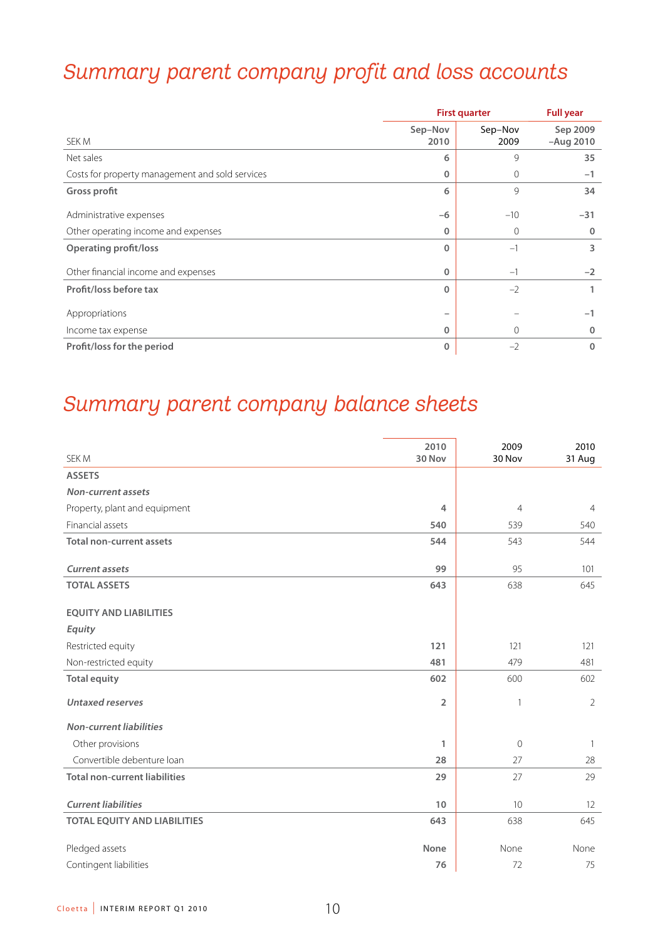# *Summary parent company profit and loss accounts*

|                                                 |                 | <b>First quarter</b> |                       |  |
|-------------------------------------------------|-----------------|----------------------|-----------------------|--|
| SEK M                                           | Sep-Nov<br>2010 | Sep-Nov<br>2009      | Sep 2009<br>-Aug 2010 |  |
| Net sales                                       | 6               | 9                    | 35                    |  |
| Costs for property management and sold services | 0               | $\mathbf{0}$         | $-1$                  |  |
| <b>Gross profit</b>                             | 6               | 9                    | 34                    |  |
| Administrative expenses                         | $-6$            | $-10$                | $-31$                 |  |
| Other operating income and expenses             | 0               | 0                    | $\mathbf{0}$          |  |
| <b>Operating profit/loss</b>                    | $\Omega$        | $-1$                 | 3                     |  |
| Other financial income and expenses             | $\mathbf 0$     | $-1$                 | $-2$                  |  |
| Profit/loss before tax                          | $\Omega$        | $-2$                 |                       |  |
| Appropriations                                  |                 |                      | $-1$                  |  |
| Income tax expense                              | $\mathbf 0$     | $\mathbf{0}$         | $\mathbf{0}$          |  |
| Profit/loss for the period                      | $\mathbf{0}$    | $-2$                 | $\Omega$              |  |

# *Summary parent company balance sheets*

| SEK M                                | 2010<br>30 Nov | 2009<br>30 Nov | 2010<br>31 Aug    |
|--------------------------------------|----------------|----------------|-------------------|
| <b>ASSETS</b>                        |                |                |                   |
| Non-current assets                   |                |                |                   |
| Property, plant and equipment        | 4              | $\overline{4}$ | $\overline{4}$    |
| Financial assets                     | 540            | 539            | 540               |
| <b>Total non-current assets</b>      | 544            | 543            | 544               |
| <b>Current assets</b>                | 99             | 95             | 101               |
| <b>TOTAL ASSETS</b>                  | 643            | 638            | 645               |
| <b>EQUITY AND LIABILITIES</b>        |                |                |                   |
| Equity                               |                |                |                   |
| Restricted equity                    | 121            | 121            | 121               |
| Non-restricted equity                | 481            | 479            | 481               |
| <b>Total equity</b>                  | 602            | 600            | 602               |
| <b>Untaxed reserves</b>              | $\overline{2}$ | 1              | $\overline{2}$    |
| <b>Non-current liabilities</b>       |                |                |                   |
| Other provisions                     | 1              | $\overline{0}$ | $\mathbf{1}$      |
| Convertible debenture loan           | 28             | 27             | 28                |
| <b>Total non-current liabilities</b> | 29             | 27             | 29                |
| <b>Current liabilities</b>           | 10             | 10             | $12 \overline{ }$ |
| <b>TOTAL EQUITY AND LIABILITIES</b>  | 643            | 638            | 645               |
| Pledged assets                       | <b>None</b>    | None           | None              |
| Contingent liabilities               | 76             | 72             | 75                |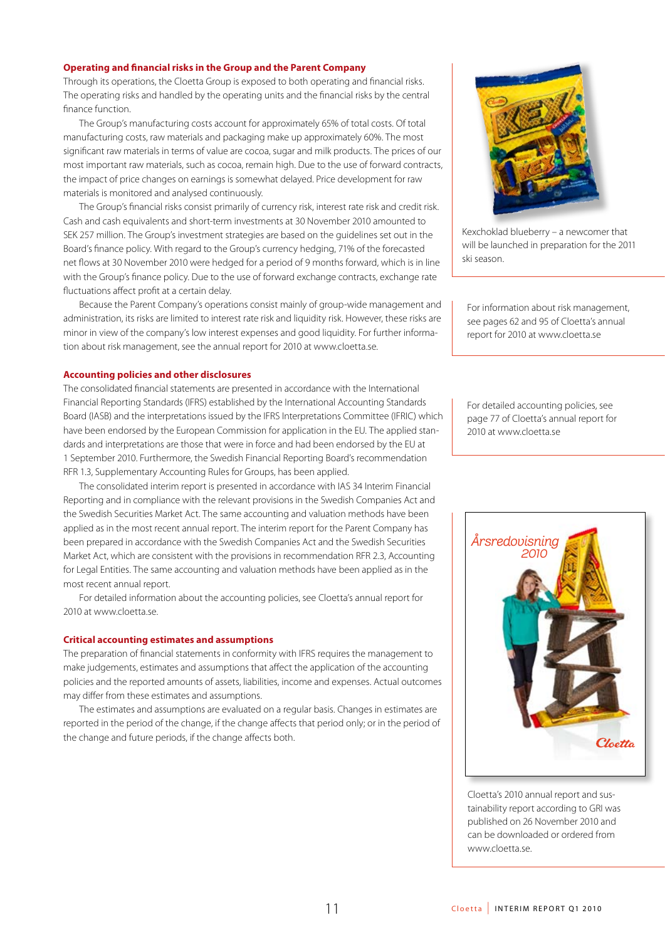### **Operating and financial risks in the Group and the Parent Company**

Through its operations, the Cloetta Group is exposed to both operating and financial risks. The operating risks and handled by the operating units and the financial risks by the central finance function.

The Group's manufacturing costs account for approximately 65% of total costs. Of total manufacturing costs, raw materials and packaging make up approximately 60%. The most significant raw materials in terms of value are cocoa, sugar and milk products. The prices of our most important raw materials, such as cocoa, remain high. Due to the use of forward contracts, the impact of price changes on earnings is somewhat delayed. Price development for raw materials is monitored and analysed continuously.

The Group's financial risks consist primarily of currency risk, interest rate risk and credit risk. Cash and cash equivalents and short-term investments at 30 November 2010 amounted to SEK 257 million. The Group's investment strategies are based on the guidelines set out in the Board's finance policy. With regard to the Group's currency hedging, 71% of the forecasted net flows at 30 November 2010 were hedged for a period of 9 months forward, which is in line with the Group's finance policy. Due to the use of forward exchange contracts, exchange rate fluctuations affect profit at a certain delay.

Because the Parent Company's operations consist mainly of group-wide management and administration, its risks are limited to interest rate risk and liquidity risk. However, these risks are minor in view of the company's low interest expenses and good liquidity. For further information about risk management, see the annual report for 2010 at www.cloetta.se.

### **Accounting policies and other disclosures**

The consolidated financial statements are presented in accordance with the International Financial Reporting Standards (IFRS) established by the International Accounting Standards Board (IASB) and the interpretations issued by the IFRS Interpretations Committee (IFRIC) which have been endorsed by the European Commission for application in the EU. The applied standards and interpretations are those that were in force and had been endorsed by the EU at 1 September 2010. Furthermore, the Swedish Financial Reporting Board's recommendation RFR 1.3, Supplementary Accounting Rules for Groups, has been applied.

The consolidated interim report is presented in accordance with IAS 34 Interim Financial Reporting and in compliance with the relevant provisions in the Swedish Companies Act and the Swedish Securities Market Act. The same accounting and valuation methods have been applied as in the most recent annual report. The interim report for the Parent Company has been prepared in accordance with the Swedish Companies Act and the Swedish Securities Market Act, which are consistent with the provisions in recommendation RFR 2.3, Accounting for Legal Entities. The same accounting and valuation methods have been applied as in the most recent annual report.

For detailed information about the accounting policies, see Cloetta's annual report for 2010 at www.cloetta.se.

### **Critical accounting estimates and assumptions**

The preparation of financial statements in conformity with IFRS requires the management to make judgements, estimates and assumptions that affect the application of the accounting policies and the reported amounts of assets, liabilities, income and expenses. Actual outcomes may differ from these estimates and assumptions.

The estimates and assumptions are evaluated on a regular basis. Changes in estimates are reported in the period of the change, if the change affects that period only; or in the period of the change and future periods, if the change affects both.



Kexchoklad blueberry – a newcomer that will be launched in preparation for the 2011 ski season.

For information about risk management, see pages 62 and 95 of Cloetta's annual report for 2010 at www.cloetta.se

For detailed accounting policies, see page 77 of Cloetta's annual report for 2010 at www.cloetta.se



Cloetta's 2010 annual report and sustainability report according to GRI was published on 26 November 2010 and can be downloaded or ordered from www.cloetta.se.